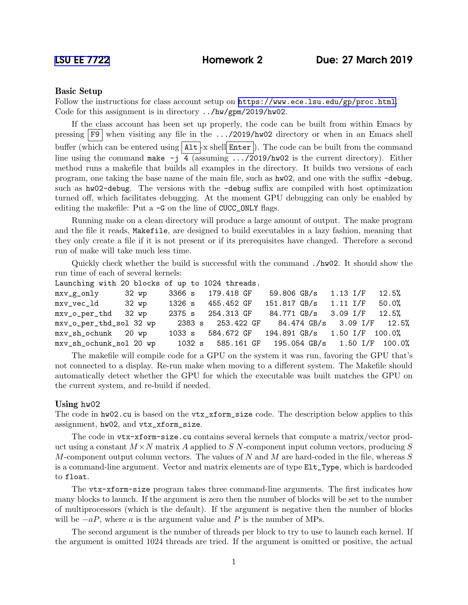## Basic Setup

Follow the instructions for class account setup on <https://www.ece.lsu.edu/gp/proc.html>. Code for this assignment is in directory ../hw/gpm/2019/hw02.

If the class account has been set up properly, the code can be built from within Emacs by pressing  $\overline{F9}$  when visiting any file in the .../2019/hw02 directory or when in an Emacs shell buffer (which can be entered using  $\text{Alt}$  -x shell Enter ). The code can be built from the command line using the command make  $-j$  4 (assuming  $\ldots$ /2019/hw02 is the current directory). Either method runs a makefile that builds all examples in the directory. It builds two versions of each program, one taking the base name of the main file, such as hw02, and one with the suffix -debug, such as hw02-debug. The versions with the -debug suffix are compiled with host optimization turned off, which facilitates debugging. At the moment GPU debugging can only be enabled by editing the makefile: Put a -G on the line of CUCC\_ONLY flags.

Running make on a clean directory will produce a large amount of output. The make program and the file it reads, Makefile, are designed to build executables in a lazy fashion, meaning that they only create a file if it is not present or if its prerequisites have changed. Therefore a second run of make will take much less time.

Quickly check whether the build is successful with the command ./hw02. It should show the run time of each of several kernels:  $L_{\text{unohim}}$  with 20 blocks of up to 1024 threads.

| Launching with 20 blocks of up to 1024 threads. |  |                                                |  |
|-------------------------------------------------|--|------------------------------------------------|--|
| mxv_g_only 32 wp 3366 s 179.418 GF              |  | 59.806 GB/s 1.13 I/F 12.5%                     |  |
| mxv_vec_1d 32 wp 1326 s 455.452 GF              |  | 151.817 GB/s  1.11 I/F  50.0%                  |  |
| mxv_o_per_thd 32 wp                             |  | 2375 s 254.313 GF 84.771 GB/s 3.09 I/F 12.5%   |  |
| mxv_o_per_thd_sol 32 wp                         |  | 2383 s 253.422 GF 84.474 GB/s 3.09 I/F 12.5%   |  |
| mxv_sh_ochunk 20 wp                             |  | 1033 s 584.672 GF 194.891 GB/s 1.50 I/F 100.0% |  |
| mxv_sh_ochunk_sol 20 wp                         |  | 1032 s 585.161 GF 195.054 GB/s 1.50 I/F 100.0% |  |

The makefile will compile code for a GPU on the system it was run, favoring the GPU that's not connected to a display. Re-run make when moving to a different system. The Makefile should automatically detect whether the GPU for which the executable was built matches the GPU on the current system, and re-build if needed.

## Using hw02

The code in hw02.cu is based on the vtx\_xform\_size code. The description below applies to this assignment, hw02, and vtx\_xform\_size.

The code in vtx-xform-size.cu contains several kernels that compute a matrix/vector product using a constant  $M \times N$  matrix A applied to S N-component input column vectors, producing S M-component output column vectors. The values of  $N$  and  $M$  are hard-coded in the file, whereas  $S$ is a command-line argument. Vector and matrix elements are of type Elt\_Type, which is hardcoded to float.

The vtx-xform-size program takes three command-line arguments. The first indicates how many blocks to launch. If the argument is zero then the number of blocks will be set to the number of multiprocessors (which is the default). If the argument is negative then the number of blocks will be  $-aP$ , where a is the argument value and P is the number of MPs.

The second argument is the number of threads per block to try to use to launch each kernel. If the argument is omitted 1024 threads are tried. If the argument is omitted or positive, the actual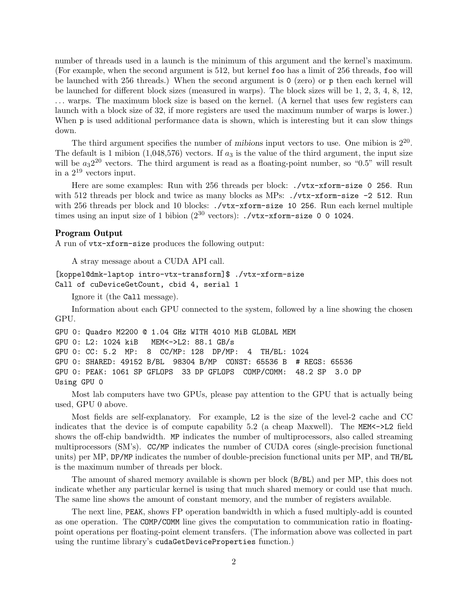number of threads used in a launch is the minimum of this argument and the kernel's maximum. (For example, when the second argument is 512, but kernel foo has a limit of 256 threads, foo will be launched with 256 threads.) When the second argument is 0 (zero) or p then each kernel will be launched for different block sizes (measured in warps). The block sizes will be 1, 2, 3, 4, 8, 12, ... warps. The maximum block size is based on the kernel. (A kernel that uses few registers can launch with a block size of 32, if more registers are used the maximum number of warps is lower.) When **p** is used additional performance data is shown, which is interesting but it can slow things down.

The third argument specifies the number of mibions input vectors to use. One mibion is  $2^{20}$ . The default is 1 mibion  $(1,048,576)$  vectors. If  $a_3$  is the value of the third argument, the input size will be  $a_3 2^{20}$  vectors. The third argument is read as a floating-point number, so "0.5" will result in a  $2^{19}$  vectors input.

Here are some examples: Run with 256 threads per block: ./vtx-xform-size 0 256. Run with 512 threads per block and twice as many blocks as MPs:  $./vtx-xform-size -2$  512. Run with 256 threads per block and 10 blocks: ./vtx-xform-size 10 256. Run each kernel multiple times using an input size of 1 bibion  $(2^{30} \text{ vectors})$ : ./vtx-xform-size 0 0 1024.

## Program Output

A run of vtx-xform-size produces the following output:

A stray message about a CUDA API call.

```
[koppel@dmk-laptop intro-vtx-transform]$ ./vtx-xform-size
Call of cuDeviceGetCount, cbid 4, serial 1
```
Ignore it (the Call message).

Information about each GPU connected to the system, followed by a line showing the chosen GPU.

```
GPU 0: Quadro M2200 @ 1.04 GHz WITH 4010 MiB GLOBAL MEM
GPU 0: L2: 1024 kiB MEM<->L2: 88.1 GB/s
GPU 0: CC: 5.2 MP: 8 CC/MP: 128 DP/MP: 4 TH/BL: 1024
GPU 0: SHARED: 49152 B/BL 98304 B/MP CONST: 65536 B # REGS: 65536
GPU 0: PEAK: 1061 SP GFLOPS 33 DP GFLOPS COMP/COMM: 48.2 SP 3.0 DP
Using GPU 0
```
Most lab computers have two GPUs, please pay attention to the GPU that is actually being used, GPU 0 above.

Most fields are self-explanatory. For example, L2 is the size of the level-2 cache and CC indicates that the device is of compute capability 5.2 (a cheap Maxwell). The MEM<->L2 field shows the off-chip bandwidth. MP indicates the number of multiprocessors, also called streaming multiprocessors (SM's). CC/MP indicates the number of CUDA cores (single-precision functional units) per MP, DP/MP indicates the number of double-precision functional units per MP, and TH/BL is the maximum number of threads per block.

The amount of shared memory available is shown per block (B/BL) and per MP, this does not indicate whether any particular kernel is using that much shared memory or could use that much. The same line shows the amount of constant memory, and the number of registers available.

The next line, PEAK, shows FP operation bandwidth in which a fused multiply-add is counted as one operation. The COMP/COMM line gives the computation to communication ratio in floatingpoint operations per floating-point element transfers. (The information above was collected in part using the runtime library's cudaGetDeviceProperties function.)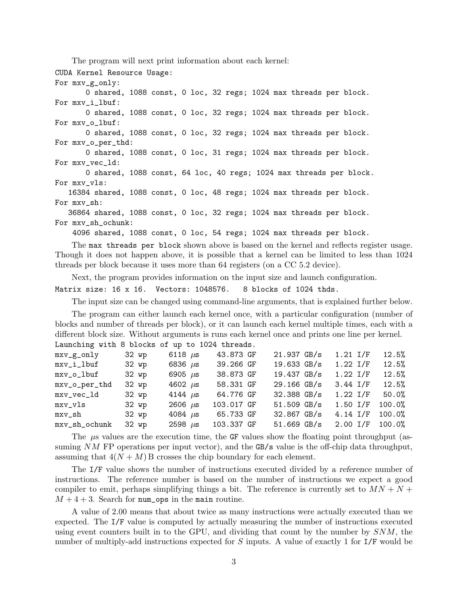The program will next print information about each kernel:

CUDA Kernel Resource Usage:

For mxv\_g\_only:

0 shared, 1088 const, 0 loc, 32 regs; 1024 max threads per block. For mxv\_i\_lbuf: 0 shared, 1088 const, 0 loc, 32 regs; 1024 max threads per block. For mxv\_o\_lbuf: 0 shared, 1088 const, 0 loc, 32 regs; 1024 max threads per block. For mxv\_o\_per\_thd: 0 shared, 1088 const, 0 loc, 31 regs; 1024 max threads per block. For mxv\_vec\_ld: 0 shared, 1088 const, 64 loc, 40 regs; 1024 max threads per block. For mxv\_vls: 16384 shared, 1088 const, 0 loc, 48 regs; 1024 max threads per block. For mxv\_sh: 36864 shared, 1088 const, 0 loc, 32 regs; 1024 max threads per block. For mxv\_sh\_ochunk:

4096 shared, 1088 const, 0 loc, 54 regs; 1024 max threads per block.

The max threads per block shown above is based on the kernel and reflects register usage. Though it does not happen above, it is possible that a kernel can be limited to less than 1024 threads per block because it uses more than 64 registers (on a CC 5.2 device).

Next, the program provides information on the input size and launch configuration.

Matrix size: 16 x 16. Vectors: 1048576. 8 blocks of 1024 thds.

The input size can be changed using command-line arguments, that is explained further below.

The program can either launch each kernel once, with a particular configuration (number of blocks and number of threads per block), or it can launch each kernel multiple times, each with a different block size. Without arguments is runs each kernel once and prints one line per kernel. Launching with 8 blocks of up to 1024 threads.

| $mxv_g_{ally}$ | 32 wp | 6118 $\mu$ s | 43.873 GF  | 21.937 GB/s   | $1.21$ $I/F$ | 12.5%  |
|----------------|-------|--------------|------------|---------------|--------------|--------|
| $mxv_i_l$      | 32 wp | 6836 $\mu$ s | 39.266 GF  | 19.633 GB/s   | $1.22$ $I/F$ | 12.5%  |
| mxv_o_lbuf     | 32 wp | 6905 $\mu$ s | 38.873 GF  | 19.437 GB/s   | $1.22$ $I/F$ | 12.5%  |
| mxv_o_per_thd  | 32 wp | 4602 $\mu$ s | 58.331 GF  | $29.166$ GB/s | $3.44$ I/F   | 12.5%  |
| mxv_vec_ld     | 32 wp | 4144 $\mu$ s | 64.776 GF  | 32.388 GB/s   | $1.22$ $I/F$ | 50.0%  |
| $mxv_vls$      | 32 wp | 2606 $\mu$ s | 103.017 GF | 51.509 GB/s   | $1.50$ $I/F$ | 100.0% |
| mxv_sh         | 32 wp | 4084 $\mu$ s | 65.733 GF  | 32.867 GB/s   | $4.14$ I/F   | 100.0% |
| mxv_sh_ochunk  | 32 wp | 2598 $\mu$ s | 103.337 GF | 51.669 GB/s   | $2.00$ I/F   | 100.0% |

The  $\mu$ s values are the execution time, the GF values show the floating point throughput (assuming  $NM$  FP operations per input vector), and the GB/s value is the off-chip data throughput, assuming that  $4(N + M)$  B crosses the chip boundary for each element.

The I/F value shows the number of instructions executed divided by a reference number of instructions. The reference number is based on the number of instructions we expect a good compiler to emit, perhaps simplifying things a bit. The reference is currently set to  $MN + N +$  $M + 4 + 3$ . Search for num ops in the main routine.

A value of 2.00 means that about twice as many instructions were actually executed than we expected. The I/F value is computed by actually measuring the number of instructions executed using event counters built in to the GPU, and dividing that count by the number by  $SNM$ , the number of multiply-add instructions expected for S inputs. A value of exactly 1 for I/F would be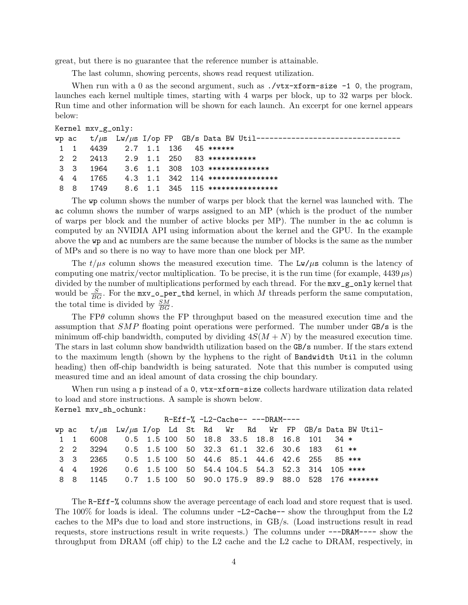great, but there is no guarantee that the reference number is attainable.

The last column, showing percents, shows read request utilization.

When run with a 0 as the second argument, such as  $\sqrt{vtx-xform}$ -size -1 0, the program, launches each kernel multiple times, starting with 4 warps per block, up to 32 warps per block. Run time and other information will be shown for each launch. An excerpt for one kernel appears below:

```
Kernel mxv_g_only:
```

|    |                                |  |  | wp ac $t/\mu s$ Lw/ $\mu s$ I/op FP GB/s Data BW Util----------------- |
|----|--------------------------------|--|--|------------------------------------------------------------------------|
|    | 1 1 4439 2.7 1.1 136 45 ****** |  |  |                                                                        |
|    |                                |  |  | 2 2 2413 2.9 1.1 250 83 ***********                                    |
|    |                                |  |  | 3 3 1964 3.6 1.1 308 103 ***************                               |
| 44 |                                |  |  | $1765$ 4.3 1.1 342 114 *****************                               |
| 88 |                                |  |  | 1749    8.6    1.1    345    115    *****************                  |
|    |                                |  |  |                                                                        |

The wp column shows the number of warps per block that the kernel was launched with. The ac column shows the number of warps assigned to an MP (which is the product of the number of warps per block and the number of active blocks per MP). The number in the ac column is computed by an NVIDIA API using information about the kernel and the GPU. In the example above the wp and ac numbers are the same because the number of blocks is the same as the number of MPs and so there is no way to have more than one block per MP.

The  $t/\mu s$  column shows the measured execution time. The Lw/ $\mu s$  column is the latency of computing one matrix/vector multiplication. To be precise, it is the run time (for example,  $4439 \,\mu s$ ) divided by the number of multiplications performed by each thread. For the  $mxv-g_0nly$  kernel that would be  $\frac{S}{BG}$ . For the  $\text{mxv\_o\_per\_thd}$  kernel, in which M threads perform the same computation, the total time is divided by  $\frac{SM}{BG}$ .

The  $FP\theta$  column shows the FP throughput based on the measured execution time and the assumption that SMP floating point operations were performed. The number under GB/s is the minimum off-chip bandwidth, computed by dividing  $4S(M + N)$  by the measured execution time. The stars in last column show bandwidth utilization based on the GB/s number. If the stars extend to the maximum length (shown by the hyphens to the right of Bandwidth Util in the column heading) then off-chip bandwidth is being saturated. Note that this number is computed using measured time and an ideal amount of data crossing the chip boundary.

When run using a p instead of a 0, vtx-xform-size collects hardware utilization data related to load and store instructions. A sample is shown below. Kernel mxv\_sh\_ochunk:

| $R-Eff-\%$ -L2-Cache-- ---DRAM---- |    |                                                                                       |  |  |  |  |                                                  |  |  |  |  |                                                                          |
|------------------------------------|----|---------------------------------------------------------------------------------------|--|--|--|--|--------------------------------------------------|--|--|--|--|--------------------------------------------------------------------------|
|                                    |    |                                                                                       |  |  |  |  |                                                  |  |  |  |  | wp ac $t/\mu s$ Lw/ $\mu s$ I/op Ld St Rd Wr Rd Wr FP GB/s Data BW Util- |
|                                    |    | 1 1 6008    0.5    1.5    100    50    18.8    33.5    18.8    16.8    101    34    * |  |  |  |  |                                                  |  |  |  |  |                                                                          |
|                                    |    | 2 2 3294 0.5 1.5 100 50 32.3 61.1 32.6 30.6 183 61 **                                 |  |  |  |  |                                                  |  |  |  |  |                                                                          |
|                                    |    | 3 3 2365 0.5 1.5 100 50 44.6 85.1 44.6 42.6 255 85 ***                                |  |  |  |  |                                                  |  |  |  |  |                                                                          |
|                                    | 44 | 1926                                                                                  |  |  |  |  | 0.6 1.5 100 50 54.4 104.5 54.3 52.3 314 105 **** |  |  |  |  |                                                                          |
|                                    |    |                                                                                       |  |  |  |  |                                                  |  |  |  |  | 8 8 1145 0.7 1.5 100 50 90.0 175.9 89.9 88.0 528 176 *******             |

The R-Eff-% columns show the average percentage of each load and store request that is used. The 100% for loads is ideal. The columns under -L2-Cache-- show the throughput from the L2 caches to the MPs due to load and store instructions, in GB/s. (Load instructions result in read requests, store instructions result in write requests.) The columns under ---DRAM---- show the throughput from DRAM (off chip) to the L2 cache and the L2 cache to DRAM, respectively, in